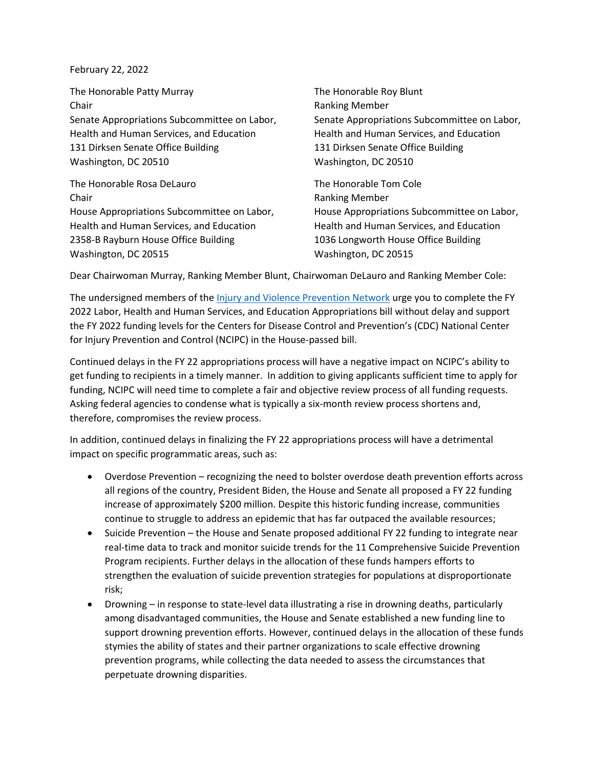## February 22, 2022

The Honorable Patty Murray The Honorable Roy Blunt Chair **Chair Chair Chair Chair Chair Chair Chair Chair Chair Chair Chair Chair Chair Chair Chair Chair Chair Chair Chair Chair Chair Chair Chair Chair Chair Chair Chair** Senate Appropriations Subcommittee on Labor, Senate Appropriations Subcommittee on Labor, Health and Human Services, and Education Health and Human Services, and Education 131 Dirksen Senate Office Building 131 Dirksen Senate Office Building Washington, DC 20510 Washington, DC 20510

The Honorable Rosa DeLauro The Honorable Tom Cole Chair **Chair Chair Chair Chair Chair Chair Chair Chair Chair Chair Chair Chair Chair Chair Chair Chair Chair Chair Chair Chair Chair Chair Chair Chair Chair Chair Chair** Health and Human Services, and Education Health and Human Services, and Education 2358-B Rayburn House Office Building 1036 Longworth House Office Building Washington, DC 20515 Washington, DC 20515

House Appropriations Subcommittee on Labor, House Appropriations Subcommittee on Labor,

Dear Chairwoman Murray, Ranking Member Blunt, Chairwoman DeLauro and Ranking Member Cole:

The undersigned members of the *Injury and Violence Prevention Network* urge you to complete the FY 2022 Labor, Health and Human Services, and Education Appropriations bill without delay and support the FY 2022 funding levels for the Centers for Disease Control and Prevention's (CDC) National Center for Injury Prevention and Control (NCIPC) in the House-passed bill.

Continued delays in the FY 22 appropriations process will have a negative impact on NCIPC's ability to get funding to recipients in a timely manner. In addition to giving applicants sufficient time to apply for funding, NCIPC will need time to complete a fair and objective review process of all funding requests. Asking federal agencies to condense what is typically a six-month review process shortens and, therefore, compromises the review process.

In addition, continued delays in finalizing the FY 22 appropriations process will have a detrimental impact on specific programmatic areas, such as:

- Overdose Prevention recognizing the need to bolster overdose death prevention efforts across all regions of the country, President Biden, the House and Senate all proposed a FY 22 funding increase of approximately \$200 million. Despite this historic funding increase, communities continue to struggle to address an epidemic that has far outpaced the available resources;
- Suicide Prevention the House and Senate proposed additional FY 22 funding to integrate near real-time data to track and monitor suicide trends for the 11 Comprehensive Suicide Prevention Program recipients. Further delays in the allocation of these funds hampers efforts to strengthen the evaluation of suicide prevention strategies for populations at disproportionate risk;
- Drowning in response to state-level data illustrating a rise in drowning deaths, particularly among disadvantaged communities, the House and Senate established a new funding line to support drowning prevention efforts. However, continued delays in the allocation of these funds stymies the ability of states and their partner organizations to scale effective drowning prevention programs, while collecting the data needed to assess the circumstances that perpetuate drowning disparities.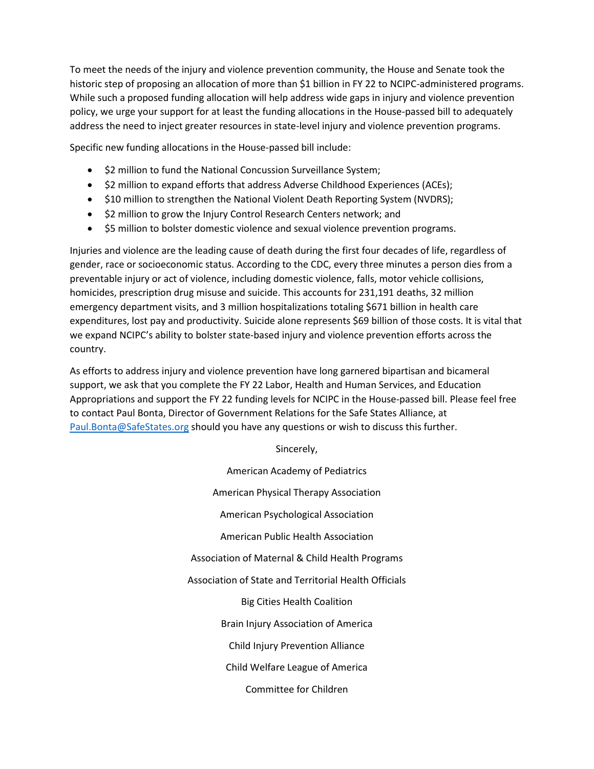To meet the needs of the injury and violence prevention community, the House and Senate took the historic step of proposing an allocation of more than \$1 billion in FY 22 to NCIPC-administered programs. While such a proposed funding allocation will help address wide gaps in injury and violence prevention policy, we urge your support for at least the funding allocations in the House-passed bill to adequately address the need to inject greater resources in state-level injury and violence prevention programs.

Specific new funding allocations in the House-passed bill include:

- \$2 million to fund the National Concussion Surveillance System;
- \$2 million to expand efforts that address Adverse Childhood Experiences (ACEs);
- \$10 million to strengthen the National Violent Death Reporting System (NVDRS);
- \$2 million to grow the Injury Control Research Centers network; and
- \$5 million to bolster domestic violence and sexual violence prevention programs.

Injuries and violence are the leading cause of death during the first four decades of life, regardless of gender, race or socioeconomic status. According to the CDC, every three minutes a person dies from a preventable injury or act of violence, including domestic violence, falls, motor vehicle collisions, homicides, prescription drug misuse and suicide. This accounts for 231,191 deaths, 32 million emergency department visits, and 3 million hospitalizations totaling \$671 billion in health care expenditures, lost pay and productivity. Suicide alone represents \$69 billion of those costs. It is vital that we expand NCIPC's ability to bolster state-based injury and violence prevention efforts across the country.

As efforts to address injury and violence prevention have long garnered bipartisan and bicameral support, we ask that you complete the FY 22 Labor, Health and Human Services, and Education Appropriations and support the FY 22 funding levels for NCIPC in the House-passed bill. Please feel free to contact Paul Bonta, Director of Government Relations for the Safe States Alliance, at [Paul.Bonta@SafeStates.org](mailto:Paul.Bonta@SafeStates.org) should you have any questions or wish to discuss this further.

Sincerely,

American Academy of Pediatrics American Physical Therapy Association American Psychological Association American Public Health Association Association of Maternal & Child Health Programs Association of State and Territorial Health Officials Big Cities Health Coalition Brain Injury Association of America Child Injury Prevention Alliance Child Welfare League of America Committee for Children